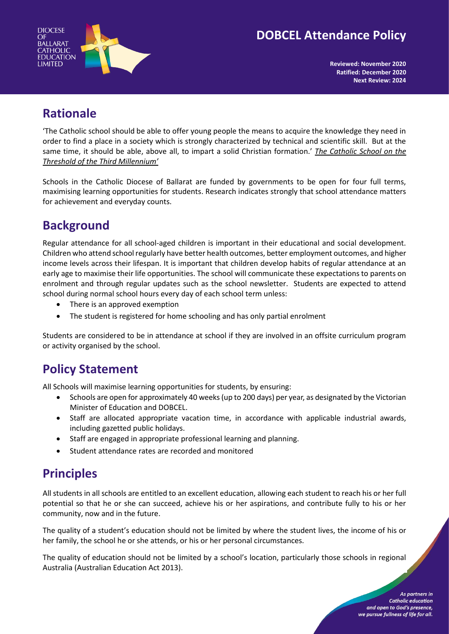



**Reviewed: November 2020 Ratified: December 2020 Next Review: 2024**

## **Rationale**

'The Catholic school should be able to offer young people the means to acquire the knowledge they need in order to find a place in a society which is strongly characterized by technical and scientific skill. But at the same time, it should be able, above all, to impart a solid Christian formation.' *The Catholic School on the Threshold of the Third Millennium'*

Schools in the Catholic Diocese of Ballarat are funded by governments to be open for four full terms, maximising learning opportunities for students. Research indicates strongly that school attendance matters for achievement and everyday counts.

# **Background**

Regular attendance for all school-aged children is important in their educational and social development. Children who attend school regularly have better health outcomes, better employment outcomes, and higher income levels across their lifespan. It is important that children develop habits of regular attendance at an early age to maximise their life opportunities. The school will communicate these expectations to parents on enrolment and through regular updates such as the school newsletter. Students are expected to attend school during normal school hours every day of each school term unless:

- There is an approved exemption
- The student is registered for home schooling and has only partial enrolment

Students are considered to be in attendance at school if they are involved in an offsite curriculum program or activity organised by the school.

### **Policy Statement**

All Schools will maximise learning opportunities for students, by ensuring:

- Schools are open for approximately 40 weeks (up to 200 days) per year, as designated by the Victorian Minister of Education and DOBCEL.
- Staff are allocated appropriate vacation time, in accordance with applicable industrial awards, including gazetted public holidays.
- Staff are engaged in appropriate professional learning and planning.
- Student attendance rates are recorded and monitored

# **Principles**

All students in all schools are entitled to an excellent education, allowing each student to reach his or her full potential so that he or she can succeed, achieve his or her aspirations, and contribute fully to his or her community, now and in the future.

The quality of a student's education should not be limited by where the student lives, the income of his or her family, the school he or she attends, or his or her personal circumstances.

The quality of education should not be limited by a school's location, particularly those schools in regional Australia (Australian Education Act 2013).

> As partners in **Catholic education** and open to God's presence. we pursue fullness of life for all.